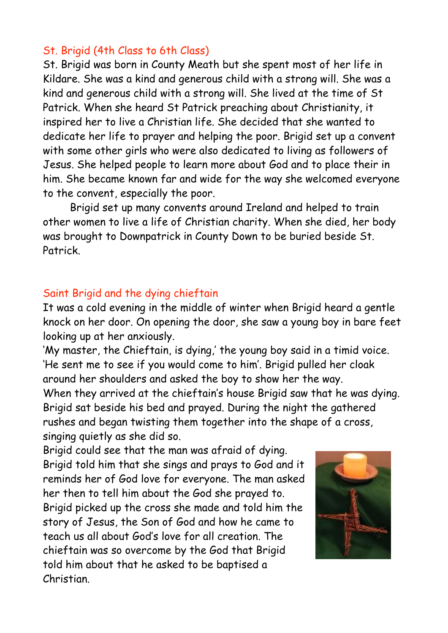## St. Brigid (4th Class to 6th Class)

St. Brigid was born in County Meath but she spent most of her life in Kildare. She was a kind and generous child with a strong will. She was a kind and generous child with a strong will. She lived at the time of St Patrick. When she heard St Patrick preaching about Christianity, it inspired her to live a Christian life. She decided that she wanted to dedicate her life to prayer and helping the poor. Brigid set up a convent with some other girls who were also dedicated to living as followers of Jesus. She helped people to learn more about God and to place their in him. She became known far and wide for the way she welcomed everyone to the convent, especially the poor.

 Brigid set up many convents around Ireland and helped to train other women to live a life of Christian charity. When she died, her body was brought to Downpatrick in County Down to be buried beside St. Patrick.

## Saint Brigid and the dying chieftain

It was a cold evening in the middle of winter when Brigid heard a gentle knock on her door. On opening the door, she saw a young boy in bare feet looking up at her anxiously.

'My master, the Chieftain, is dying,' the young boy said in a timid voice. 'He sent me to see if you would come to him'. Brigid pulled her cloak around her shoulders and asked the boy to show her the way.

When they arrived at the chieftain's house Brigid saw that he was dying. Brigid sat beside his bed and prayed. During the night the gathered rushes and began twisting them together into the shape of a cross, singing quietly as she did so.

Brigid could see that the man was afraid of dying. Brigid told him that she sings and prays to God and it reminds her of God love for everyone. The man asked her then to tell him about the God she prayed to. Brigid picked up the cross she made and told him the story of Jesus, the Son of God and how he came to teach us all about God's love for all creation. The chieftain was so overcome by the God that Brigid told him about that he asked to be baptised a Christian.

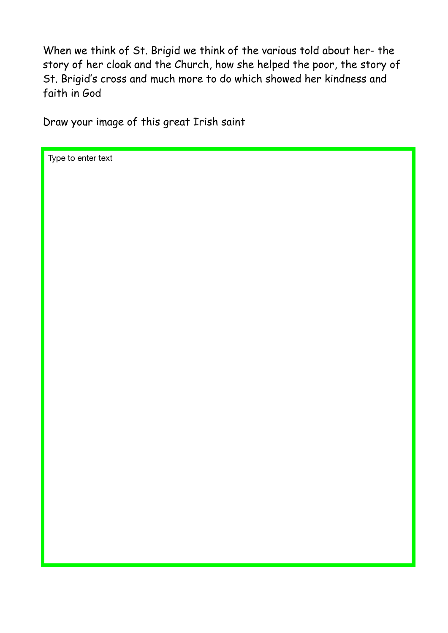When we think of St. Brigid we think of the various told about her- the story of her cloak and the Church, how she helped the poor, the story of St. Brigid's cross and much more to do which showed her kindness and faith in God

Draw your image of this great Irish saint

Type to enter text